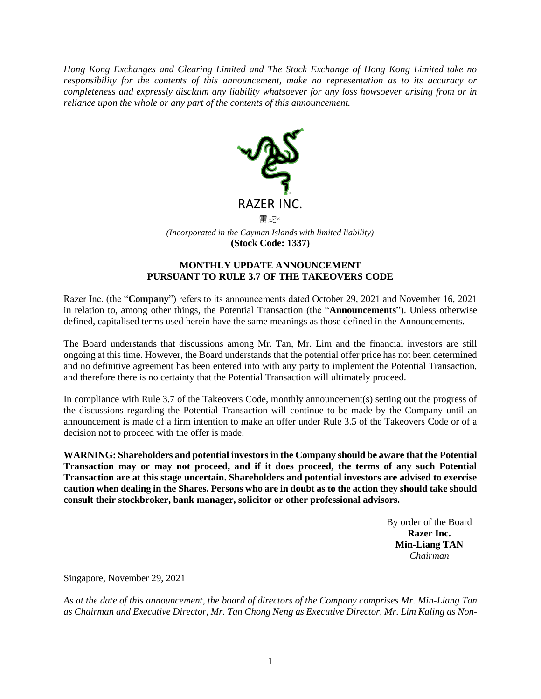*Hong Kong Exchanges and Clearing Limited and The Stock Exchange of Hong Kong Limited take no responsibility for the contents of this announcement, make no representation as to its accuracy or completeness and expressly disclaim any liability whatsoever for any loss howsoever arising from or in reliance upon the whole or any part of the contents of this announcement.*



## **MONTHLY UPDATE ANNOUNCEMENT PURSUANT TO RULE 3.7 OF THE TAKEOVERS CODE**

Razer Inc. (the "**Company**") refers to its announcements dated October 29, 2021 and November 16, 2021 in relation to, among other things, the Potential Transaction (the "**Announcements**"). Unless otherwise defined, capitalised terms used herein have the same meanings as those defined in the Announcements.

The Board understands that discussions among Mr. Tan, Mr. Lim and the financial investors are still ongoing at this time. However, the Board understands that the potential offer price has not been determined and no definitive agreement has been entered into with any party to implement the Potential Transaction, and therefore there is no certainty that the Potential Transaction will ultimately proceed.

In compliance with Rule 3.7 of the Takeovers Code, monthly announcement(s) setting out the progress of the discussions regarding the Potential Transaction will continue to be made by the Company until an announcement is made of a firm intention to make an offer under Rule 3.5 of the Takeovers Code or of a decision not to proceed with the offer is made.

**WARNING: Shareholders and potential investors in the Company should be aware that the Potential Transaction may or may not proceed, and if it does proceed, the terms of any such Potential Transaction are at this stage uncertain. Shareholders and potential investors are advised to exercise caution when dealing in the Shares. Persons who are in doubt as to the action they should take should consult their stockbroker, bank manager, solicitor or other professional advisors.**

> By order of the Board **Razer Inc. Min-Liang TAN** *Chairman*

Singapore, November 29, 2021

*As at the date of this announcement, the board of directors of the Company comprises Mr. Min-Liang Tan as Chairman and Executive Director, Mr. Tan Chong Neng as Executive Director, Mr. Lim Kaling as Non-*